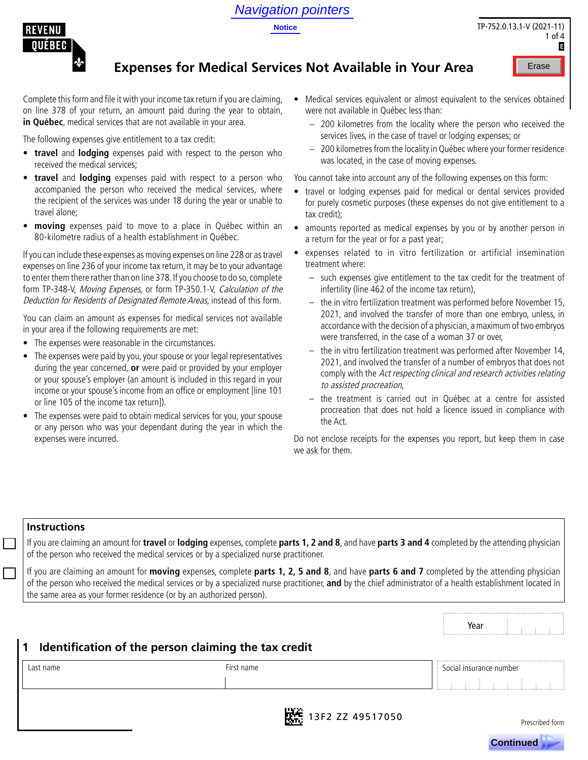## Navigation pointers

**Notice**



## **Expenses for Medical Services Not Available in Your Area**

Complete this form and file it with your income tax return if you are claiming, on line 378 of your return, an amount paid during the year to obtain, **in Québec**, medical services that are not available in your area.

The following expenses give entitlement to a tax credit:

- **• travel** and **lodging** expenses paid with respect to the person who received the medical services;
- **• travel** and **lodging** expenses paid with respect to a person who accompanied the person who received the medical services, where the recipient of the services was under 18 during the year or unable to travel alone;
- **• moving** expenses paid to move to a place in Québec within an 80-kilometre radius of a health establishment in Québec.

If you can include these expenses as moving expenses on line 228 or as travel expenses on line 236 of your income tax return, it may be to your advantage to enter them there rather than on line 378. If you choose to do so, complete form TP-348-V, Moving Expenses, or form TP-350.1-V, Calculation of the Deduction for Residents of Designated Remote Areas, instead of this form.

You can claim an amount as expenses for medical services not available in your area if the following requirements are met:

- The expenses were reasonable in the circumstances.
- The expenses were paid by you, your spouse or your legal representatives during the year concerned, **or** were paid or provided by your employer or your spouse's employer (an amount is included in this regard in your income or your spouse's income from an office or employment [line 101 or line 105 of the income tax return]).
- The expenses were paid to obtain medical services for you, your spouse or any person who was your dependant during the year in which the expenses were incurred.
- Medical services equivalent or almost equivalent to the services obtained were not available in Québec less than:
	- − 200 kilometres from the locality where the person who received the services lives, in the case of travel or lodging expenses; or
	- − 200 kilometres from the locality in Québec where your former residence was located, in the case of moving expenses.

You cannot take into account any of the following expenses on this form:

- travel or lodging expenses paid for medical or dental services provided for purely cosmetic purposes (these expenses do not give entitlement to a tax credit);
- amounts reported as medical expenses by you or by another person in a return for the year or for a past year;
	- expenses related to in vitro fertilization or artificial insemination treatment where:
		- such expenses give entitlement to the tax credit for the treatment of infertility (line 462 of the income tax return),
		- the in vitro fertilization treatment was performed before November 15, 2021, and involved the transfer of more than one embryo, unless, in accordance with the decision of a physician, a maximum of two embryos were transferred, in the case of a woman 37 or over,
		- the in vitro fertilization treatment was performed after November 14, 2021, and involved the transfer of a number of embryos that does not comply with the Act respecting clinical and research activities relating to assisted procreation,
		- the treatment is carried out in Québec at a centre for assisted procreation that does not hold a licence issued in compliance with the Act.

Do not enclose receipts for the expenses you report, but keep them in case we ask for them.

#### **Instructions**

If you are claiming an amount for **travel** or **lodging** expenses, complete **parts 1, 2 and 8**, and have **parts 3 and 4** completed by the attending physician of the person who received the medical services or by a specialized nurse practitioner.

If you are claiming an amount for **moving** expenses, complete **parts 1, 2, 5 and 8**, and have **parts 6 and 7** completed by the attending physician of the person who received the medical services or by a specialized nurse practitioner, **and** by the chief administrator of a health establishment located in the same area as your former residence (or by an authorized person).

|           |                                                      | Year<br>                |
|-----------|------------------------------------------------------|-------------------------|
| l 1       | Identification of the person claiming the tax credit |                         |
| Last name | First name                                           | Social insurance number |
|           |                                                      |                         |
|           |                                                      |                         |



Prescribed form



TP-752.0.13.1-V (2021-11) 1 of  $\Lambda$ G Erase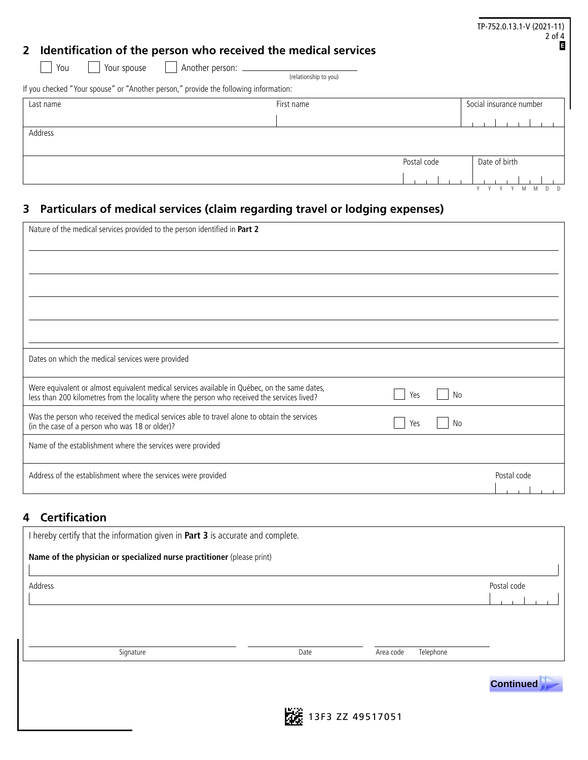| Identification of the person who received the medical services<br>$\mathbf{2}$                                             |                       |             | TP-752.0.13.1-V (2021-11)<br>$2$ of $4$<br>E |
|----------------------------------------------------------------------------------------------------------------------------|-----------------------|-------------|----------------------------------------------|
| Your spouse<br>You<br>$\mathbf{1}$<br>If you checked "Your spouse" or "Another person," provide the following information: | (relationship to you) |             |                                              |
| Last name                                                                                                                  | First name            |             | Social insurance number                      |
| Address                                                                                                                    |                       |             |                                              |
|                                                                                                                            |                       | Postal code | Date of birth                                |
|                                                                                                                            |                       |             |                                              |

# **3 Particulars of medical services (claim regarding travel or lodging expenses)**

| Nature of the medical services provided to the person identified in Part 2                                                                                                                                 |             |
|------------------------------------------------------------------------------------------------------------------------------------------------------------------------------------------------------------|-------------|
|                                                                                                                                                                                                            |             |
|                                                                                                                                                                                                            |             |
|                                                                                                                                                                                                            |             |
|                                                                                                                                                                                                            |             |
| Dates on which the medical services were provided                                                                                                                                                          |             |
| Were equivalent or almost equivalent medical services available in Québec, on the same dates,<br>No<br>Yes<br>less than 200 kilometres from the locality where the person who received the services lived? |             |
| Was the person who received the medical services able to travel alone to obtain the services<br>Yes<br>No<br>(in the case of a person who was 18 or older)?                                                |             |
| Name of the establishment where the services were provided                                                                                                                                                 |             |
| Address of the establishment where the services were provided                                                                                                                                              | Postal code |

#### **4 Certification**

| I hereby certify that the information given in Part 3 is accurate and complete. |      |                        |             |  |  |  |
|---------------------------------------------------------------------------------|------|------------------------|-------------|--|--|--|
| Name of the physician or specialized nurse practitioner (please print)          |      |                        |             |  |  |  |
| Address                                                                         |      |                        | Postal code |  |  |  |
|                                                                                 |      |                        |             |  |  |  |
|                                                                                 |      |                        |             |  |  |  |
| Signature                                                                       | Date | Area code<br>Telephone |             |  |  |  |
|                                                                                 |      |                        |             |  |  |  |



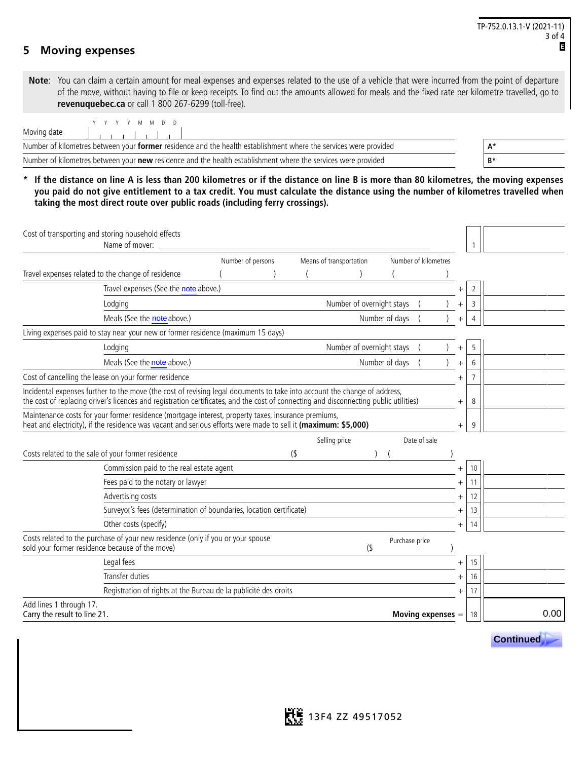#### **5 Moving expenses**

**Note**: You can claim a certain amount for meal expenses and expenses related to the use of a vehicle that were incurred from the point of departure of the move, without having to file or keep receipts. To find out the amounts allowed for meals and the fixed rate per kilometre travelled, go to **revenuquebec.ca** or call 1 800 267-6299 (toll-free).

| YYYYMMDD                                                                                                         |    |
|------------------------------------------------------------------------------------------------------------------|----|
| Moving date                                                                                                      |    |
| Number of kilometres between your former residence and the health establishment where the services were provided | A۰ |
| Number of kilometres between your new residence and the health establishment where the services were provided    | B* |

**\* If the distance on line A is less than 200 kilometres or if the distance on line B is more than 80 kilometres, the moving expenses you paid do not give entitlement to a tax credit. You must calculate the distance using the number of kilometres travelled when taking the most direct route over public roads (including ferry crossings).**

|                                                         | Cost of transporting and storing household effects<br>Name of mover:                                                                                                                                                  |                   |                         |                           |                        |        |                |                  |
|---------------------------------------------------------|-----------------------------------------------------------------------------------------------------------------------------------------------------------------------------------------------------------------------|-------------------|-------------------------|---------------------------|------------------------|--------|----------------|------------------|
|                                                         |                                                                                                                                                                                                                       | Number of persons | Means of transportation |                           | Number of kilometres   |        |                |                  |
|                                                         | Travel expenses related to the change of residence                                                                                                                                                                    |                   |                         |                           |                        |        |                |                  |
|                                                         | Travel expenses (See the note above.)                                                                                                                                                                                 |                   |                         |                           |                        |        | 2              |                  |
|                                                         | Lodging                                                                                                                                                                                                               |                   |                         | Number of overnight stays |                        | $^{+}$ | 3              |                  |
|                                                         | Meals (See the note above.)                                                                                                                                                                                           |                   |                         |                           | Number of days         |        | 4              |                  |
|                                                         | Living expenses paid to stay near your new or former residence (maximum 15 days)                                                                                                                                      |                   |                         |                           |                        |        |                |                  |
|                                                         | Lodging                                                                                                                                                                                                               |                   |                         | Number of overnight stays |                        | $^{+}$ | 5              |                  |
|                                                         | Meals (See the note above.)                                                                                                                                                                                           |                   |                         |                           | Number of days         | $^{+}$ | 6              |                  |
|                                                         | Cost of cancelling the lease on your former residence                                                                                                                                                                 |                   |                         |                           |                        | $^{+}$ | $\overline{7}$ |                  |
|                                                         | Incidental expenses further to the move (the cost of revising legal documents to take into account the change of address,                                                                                             |                   |                         |                           |                        |        |                |                  |
|                                                         | the cost of replacing driver's licences and registration certificates, and the cost of connecting and disconnecting public utilities)                                                                                 |                   |                         |                           |                        | $^{+}$ | 8              |                  |
|                                                         | Maintenance costs for your former residence (mortgage interest, property taxes, insurance premiums,<br>heat and electricity), if the residence was vacant and serious efforts were made to sell it (maximum: \$5,000) |                   |                         |                           |                        | $^{+}$ | 9              |                  |
|                                                         |                                                                                                                                                                                                                       |                   | Selling price           |                           | Date of sale           |        |                |                  |
|                                                         | Costs related to the sale of your former residence                                                                                                                                                                    |                   | (                       |                           |                        |        |                |                  |
|                                                         | Commission paid to the real estate agent                                                                                                                                                                              |                   |                         |                           |                        | $^{+}$ | 10             |                  |
|                                                         | Fees paid to the notary or lawyer                                                                                                                                                                                     |                   |                         |                           |                        | $^{+}$ | 11             |                  |
|                                                         | Advertising costs                                                                                                                                                                                                     |                   |                         |                           |                        | $^{+}$ | 12             |                  |
|                                                         | Surveyor's fees (determination of boundaries, location certificate)                                                                                                                                                   |                   |                         |                           |                        | $^{+}$ | 13             |                  |
|                                                         | Other costs (specify)                                                                                                                                                                                                 |                   |                         |                           |                        | $^{+}$ | 14             |                  |
| sold your former residence because of the move)         | Costs related to the purchase of your new residence (only if you or your spouse                                                                                                                                       |                   |                         | $($ \$                    | Purchase price         |        |                |                  |
|                                                         | Legal fees                                                                                                                                                                                                            |                   |                         |                           |                        | $^{+}$ | 15             |                  |
|                                                         | Transfer duties                                                                                                                                                                                                       |                   |                         |                           |                        | $^{+}$ | 16             |                  |
|                                                         | Registration of rights at the Bureau de la publicité des droits                                                                                                                                                       |                   |                         |                           |                        |        | 17             |                  |
| Add lines 1 through 17.<br>Carry the result to line 21. |                                                                                                                                                                                                                       |                   |                         |                           | <b>Moving expenses</b> |        | 18             | 0.00             |
|                                                         |                                                                                                                                                                                                                       |                   |                         |                           |                        |        |                | <b>Continued</b> |